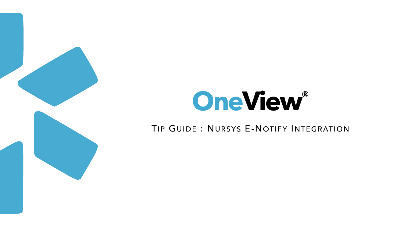

# **OneView®**

# TIP GUIDE: NURSYS E-NOTIFY INTEGRATION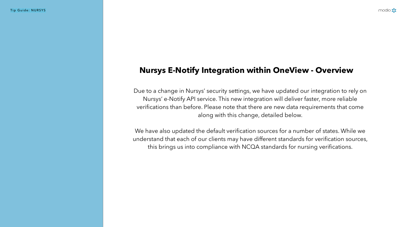Tip Guide: NURSYS

Due to a change in Nursys' security settings, we have updated our integration to rely on Nursys' e-Notify API service. This new integration will deliver faster, more reliable verifications than before. Please note that there are new data requirements that come along with this change, detailed below.

We have also updated the default verification sources for a number of states. While we understand that each of our clients may have different standards for verification sources, this brings us into compliance with NCQA standards for nursing verifications.

modio :

# **Nursys E-Notify Integration within OneView - Overview**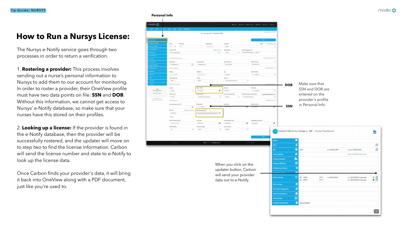The Nursys e-Notify service goes through two processes in order to return a verification.

1. **Rostering a provider:** This process involves sending out a nurse's personal information to Nursys to add them to our account for monitoring. In order to roster a provider, their OneView profile must have two data points on file: **SSN** and **DOB**. Without this information, we cannot get access to Nursys' e-Notify database, so make sure that your nurses have this stored on their profiles.

Once Carbon finds your provider's data, it will bring it back into OneView along with a PDF document, just like you're used to.

2. **Looking up a license:** If the provider is found in the e-Notify database, then the provider will be successfully rostered, and the updater will move on to step two to find the license information. Carbon will send the license number and state to e-Notify to look up the license data.

## **How to Run a Nursys License:**



|                                                                                                                                         |                                                      | <b>O</b> Support<br>nodio U        | Settings <b>₹</b> New Features <b>₹</b> Settings | <b>≜</b> Services<br>C→ Sign out |                             |                                           |                                                                |                                                              |                |
|-----------------------------------------------------------------------------------------------------------------------------------------|------------------------------------------------------|------------------------------------|--------------------------------------------------|----------------------------------|-----------------------------|-------------------------------------------|----------------------------------------------------------------|--------------------------------------------------------------|----------------|
|                                                                                                                                         |                                                      |                                    |                                                  |                                  |                             |                                           |                                                                |                                                              |                |
| last updated: 09/20/2021<br>Yuri Zhivago MD ▼ Personal Info                                                                             |                                                      |                                    |                                                  |                                  |                             |                                           |                                                                |                                                              |                |
|                                                                                                                                         |                                                      |                                    |                                                  |                                  |                             |                                           |                                                                |                                                              |                |
|                                                                                                                                         |                                                      |                                    | Save                                             |                                  |                             |                                           |                                                                |                                                              |                |
|                                                                                                                                         | Middle Name                                          | <b>Last Name</b>                   | Suffix                                           | More Names $(8)$ +               |                             |                                           |                                                                |                                                              |                |
|                                                                                                                                         | Middle name                                          | Zhivago                            | Jr.                                              | $\checkmark$                     |                             |                                           |                                                                |                                                              |                |
| Fluent languages<br>Telemed Exp.<br>Specialty List +<br>$x -$<br>3 Years<br>$\vee$<br>American Sign Language $\times$   French $\times$ |                                                      |                                    |                                                  |                                  |                             |                                           |                                                                |                                                              |                |
|                                                                                                                                         |                                                      |                                    |                                                  |                                  |                             |                                           |                                                                |                                                              |                |
|                                                                                                                                         |                                                      |                                    |                                                  | Emergency Contact $(1) +$        |                             |                                           |                                                                |                                                              |                |
| $\checkmark$                                                                                                                            | Personal Email<br>rich@appwell.io                    | Home Phone #<br>$(310) 555 - 5555$ | Mobile Phone #<br>(310) 555-5555                 | ッ                                |                             |                                           |                                                                |                                                              |                |
|                                                                                                                                         |                                                      |                                    |                                                  | More Addresses (1) $+$           |                             |                                           |                                                                |                                                              |                |
|                                                                                                                                         | Address <sub>2</sub>                                 | City                               | State/Province                                   |                                  |                             |                                           |                                                                |                                                              |                |
|                                                                                                                                         | Home address 2                                       | San Mateo                          | CA - California                                  | $\checkmark$                     |                             |                                           |                                                                |                                                              |                |
|                                                                                                                                         | County                                               | Country                            |                                                  |                                  |                             |                                           |                                                                |                                                              |                |
|                                                                                                                                         | 89204                                                | United States of America           | $\checkmark$                                     |                                  |                             |                                           |                                                                |                                                              |                |
|                                                                                                                                         |                                                      |                                    |                                                  | More Birth Info $(0) +$          | <b>DOB</b>                  | Make sure that                            |                                                                |                                                              |                |
| $\checkmark$                                                                                                                            | Date of Birth<br>曲<br>02/13/1957                     | Birth City<br>Birth city           | <b>Birth State</b><br>CA - California            | $\checkmark$                     |                             |                                           | SSN and DOB are                                                |                                                              |                |
|                                                                                                                                         | <b>Birth Country</b>                                 | Country of Citizenship             | Citizenship/Work Authorization                   | □ Authorized to work in U.S.?    |                             | entered on the                            |                                                                |                                                              |                |
|                                                                                                                                         | United States of America<br>$\checkmark$             | $\checkmark$<br>Albania            | Permanent Resident                               | $\checkmark$                     |                             |                                           |                                                                |                                                              |                |
|                                                                                                                                         |                                                      |                                    |                                                  | Additional IDs (9) $+$           |                             | provider's profile                        |                                                                |                                                              |                |
|                                                                                                                                         | State Issued                                         | <b>Issue Date</b>                  | <b>Expiration Date</b>                           |                                  | <b>SSN</b>                  | in Personal Info                          |                                                                |                                                              |                |
| А.<br>1/2021                                                                                                                            | CA - California<br>$\checkmark$<br>Social Security # | mm/dd/yyyy                         | 05/05/2020                                       | ⊞                                |                             |                                           |                                                                |                                                              |                |
|                                                                                                                                         |                                                      |                                    |                                                  |                                  |                             |                                           |                                                                |                                                              |                |
|                                                                                                                                         |                                                      |                                    |                                                  |                                  |                             |                                           |                                                                |                                                              |                |
|                                                                                                                                         | <b>Issue Date</b>                                    | <b>Last Attestation Date</b>       | <b>Reattestation Due Date</b>                    |                                  |                             |                                           |                                                                |                                                              |                |
|                                                                                                                                         | 曲<br>05/26/1971                                      | 04/19/2018                         | 曲<br>05/01/2017                                  | 曲                                |                             |                                           |                                                                |                                                              |                |
| $\checkmark$                                                                                                                            | <b>Account Manager</b><br>$\vee$<br>Admin            | <b>Account Status</b><br>Pending   | $\checkmark$                                     |                                  |                             |                                           |                                                                |                                                              |                |
|                                                                                                                                         |                                                      |                                    |                                                  |                                  |                             |                                           | Provider Profile for Yuri Zhivago Jr., NP - Nurse Practitioner |                                                              | - L<br>W       |
|                                                                                                                                         |                                                      |                                    | Save                                             |                                  |                             |                                           |                                                                |                                                              |                |
|                                                                                                                                         |                                                      |                                    |                                                  | <b>Notes</b>                     |                             | l d                                       |                                                                |                                                              |                |
|                                                                                                                                         | @2021 Modio Health. All rights reserved.             |                                    | <b>Terms and Conditions</b>                      | NPI#                             |                             | $\infty$                                  |                                                                |                                                              | C              |
|                                                                                                                                         |                                                      |                                    |                                                  |                                  |                             |                                           |                                                                |                                                              |                |
|                                                                                                                                         |                                                      |                                    |                                                  | OIG                              |                             | ♦<br>Pass                                 | DOB: 08/25/1987                                                | Updated: 09/20/2021                                          | C              |
|                                                                                                                                         |                                                      |                                    |                                                  | <b>Home Address</b>              |                             | 谷                                         |                                                                | Email: zue.head@modio.email                                  |                |
| When you click on the<br>updater button, Carbon<br>will send your provider                                                              |                                                      |                                    |                                                  |                                  | <b>Primary Practice</b>     | file.                                     |                                                                |                                                              |                |
|                                                                                                                                         |                                                      |                                    |                                                  |                                  | <b>Primary Affiliation</b>  | $\boldsymbol{\omega}$                     |                                                                |                                                              |                |
|                                                                                                                                         |                                                      |                                    |                                                  |                                  | <b>Professional School</b>  | 血                                         |                                                                |                                                              |                |
|                                                                                                                                         |                                                      |                                    |                                                  |                                  |                             | $\bullet$                                 |                                                                |                                                              |                |
|                                                                                                                                         |                                                      |                                    |                                                  |                                  | Graduation Date             |                                           |                                                                |                                                              |                |
| data out to e-Notify.                                                                                                                   |                                                      |                                    |                                                  | <b>State Licenses</b>            |                             | $\circledcirc$<br>AZ<br>10915<br>AZ 10914 | APRN<br>exp. 04/01/2023<br>APRN                                | upd. 09/16/2021 (4 days ago)<br>upd. 09/16/2021 (4 days ago) | $\frac{8}{20}$ |
|                                                                                                                                         |                                                      |                                    |                                                  |                                  |                             |                                           |                                                                |                                                              |                |
|                                                                                                                                         |                                                      |                                    |                                                  | <b>DEA Licenses</b>              |                             | B.                                        |                                                                |                                                              |                |
|                                                                                                                                         |                                                      |                                    |                                                  |                                  | <b>Controlled Substance</b> | 畠                                         |                                                                |                                                              |                |
|                                                                                                                                         |                                                      |                                    |                                                  |                                  | <b>Board Certifications</b> | $\alpha$                                  |                                                                |                                                              |                |
|                                                                                                                                         |                                                      |                                    |                                                  | <b>Telemed Exp.</b>              |                             | 回                                         |                                                                |                                                              |                |
|                                                                                                                                         |                                                      |                                    |                                                  |                                  | <b>Provider Onboarding</b>  | 眉<br>New Invitation                       |                                                                |                                                              |                |
|                                                                                                                                         |                                                      |                                    |                                                  |                                  |                             |                                           |                                                                |                                                              |                |
|                                                                                                                                         |                                                      |                                    |                                                  |                                  |                             |                                           |                                                                |                                                              |                |
|                                                                                                                                         |                                                      |                                    |                                                  |                                  |                             |                                           |                                                                |                                                              | OK             |
|                                                                                                                                         |                                                      |                                    |                                                  |                                  |                             |                                           |                                                                |                                                              |                |



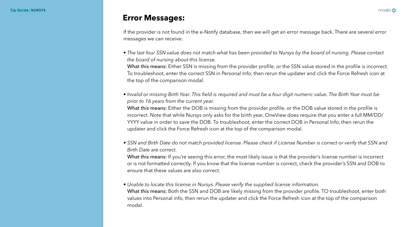If the provider is not found in the e-Notify database, then we will get an error message back. There are several error

messages we can receive:

• *The last four SSN value does not match what has been provided to Nursys by the board of nursing. Please contact* 

What this means: Either SSN is missing from the provider profile, or the SSN value stored in the profile is incorrect. To troubleshoot, enter the correct SSN in Personal Info, then rerun the updater and click the Force Refresh icon at

What this means: Either the DOB is missing from the provider profile, or the DOB value stored in the profile is incorrect. Note that while Nursys only asks for the birth year, OneView does require that you enter a full MM/DD/ YYYY value in order to save the DOB. To troubleshoot, enter the correct DOB in Personal Info, then rerun the updater and click the Force Refresh icon at the top of the comparison modal.

• *Invalid or missing Birth Year. This field is required and must be a four digit numeric value. The Birth Year must be* 

What this means: If you're seeing this error, the most likely issue is that the provider's license number is incorrect or is not formatted correctly. If you know that the license number is correct, check the provider's SSN and DOB to

What this means: Both the SSN and DOB are likely missing from the provider profile. TO troubleshoot, enter both values into Personal info, then rerun the updater and click the Force Refresh icon at the top of the comparison





- *the board of nursing about this license.*  the top of the comparison modal.
- *prior to 16 years from the current year.*
- *Birth Date are correct.*  ensure that these values are also correct.
- modal.

• *SSN and Birth Date do not match provided license. Please check if License Number is correct or verify that SSN and* 

## • *Unable to locate this license in Nursys. Please verify the supplied license information.*

## **Error Messages:**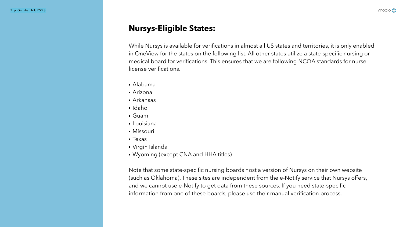While Nursys is available for verifications in almost all US states and territories, it is only enabled in OneView for the states on the following list. All other states utilize a state-specific nursing or medical board for verifications. This ensures that we are following NCQA standards for nurse license verifications.

- Alabama
- Arizona
- Arkansas
- Idaho
- Guam
- Louisiana
- **Missouri**
- **Texas**
- Virgin Islands
- Wyoming (except CNA and HHA titles)

Note that some state-specific nursing boards host a version of Nursys on their own website (such as Oklahoma). These sites are independent from the e-Notify service that Nursys offers, and we cannot use e-Notify to get data from these sources. If you need state-specific information from one of these boards, please use their manual verification process.

modio :

# **Nursys-Eligible States:**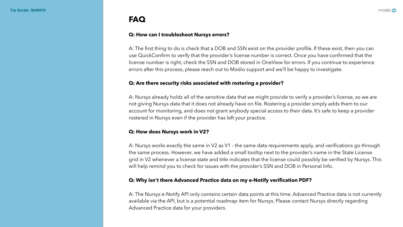## **Q: How can I troubleshoot Nursys errors?**

A: The first thing to do is check that a DOB and SSN exist on the provider profile. If these exist, then you can use QuickConfirm to verify that the provider's license number is correct. Once you have confirmed that the license number is right, check the SSN and DOB stored in OneView for errors. If you continue to experience errors after this process, please reach out to Modio support and we'll be happy to investigate.

## **Q: Are there security risks associated with rostering a provider?**

A: Nursys already holds all of the sensitive data that we might provide to verify a provider's license, so we are not giving Nursys data that it does not already have on file. Rostering a provider simply adds them to our account for monitoring, and does not grant anybody special access to their data. It's safe to keep a provider rostered in Nursys even if the provider has left your practice.

## **Q: How does Nursys work in V2?**

A: Nursys works exactly the same in V2 as V1 - the same data requirements apply, and verifications go through the same process. However, we have added a small tooltip next to the provider's name in the State License grid in V2 whenever a license state and title indicates that the license could possibly be verified by Nursys. This will help remind you to check for issues with the provider's SSN and DOB in Personal Info.

## **Q: Why isn't there Advanced Practice data on my e-Notify verification PDF?**

A: The Nursys e-Notify API only contains certain data points at this time. Advanced Practice data is not currently available via the API, but is a potential roadmap item for Nursys. Please contact Nursys directly regarding Advanced Practice data for your providers.

modio :

# **FAQ**